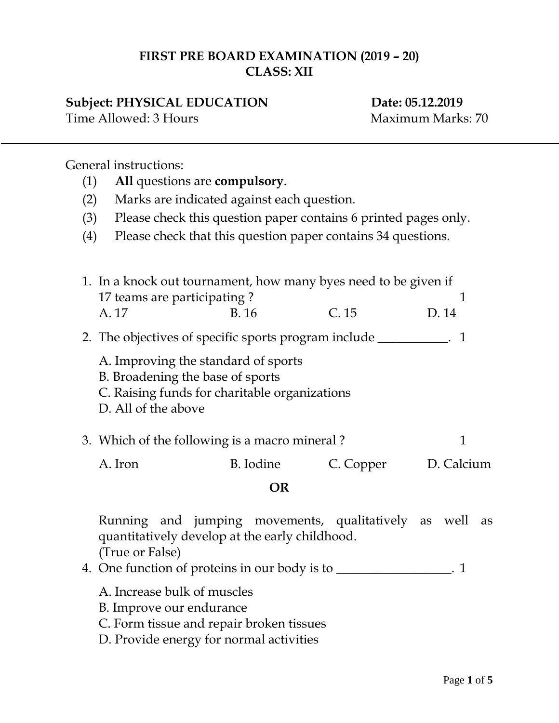## **FIRST PRE BOARD EXAMINATION (2019 – 20) CLASS: XII**

## **Subject: PHYSICAL EDUCATION Date: 05.12.2019**

Time Allowed: 3 Hours Maximum Marks: 70

General instructions:

- (1) **All** questions are **compulsory**.
- (2) Marks are indicated against each question.
- (3) Please check this question paper contains 6 printed pages only.
- (4) Please check that this question paper contains 34 questions.
- 1. In a knock out tournament, how many byes need to be given if 17 teams are participating ? 1 A. 17 B. 16 C. 15 D. 14 2. The objectives of specific sports program include \_\_\_\_\_\_\_\_\_\_\_. 1 A. Improving the standard of sports B. Broadening the base of sports C. Raising funds for charitable organizations D. All of the above 3. Which of the following is a macro mineral ? 1 A. Iron B. Iodine C. Copper D. Calcium

## **OR**

Running and jumping movements, qualitatively as well as quantitatively develop at the early childhood. (True or False)

- 4. One function of proteins in our body is to \_\_\_\_\_\_\_\_\_\_\_\_\_\_\_. 1
	- A. Increase bulk of muscles
	- B. Improve our endurance
	- C. Form tissue and repair broken tissues
	- D. Provide energy for normal activities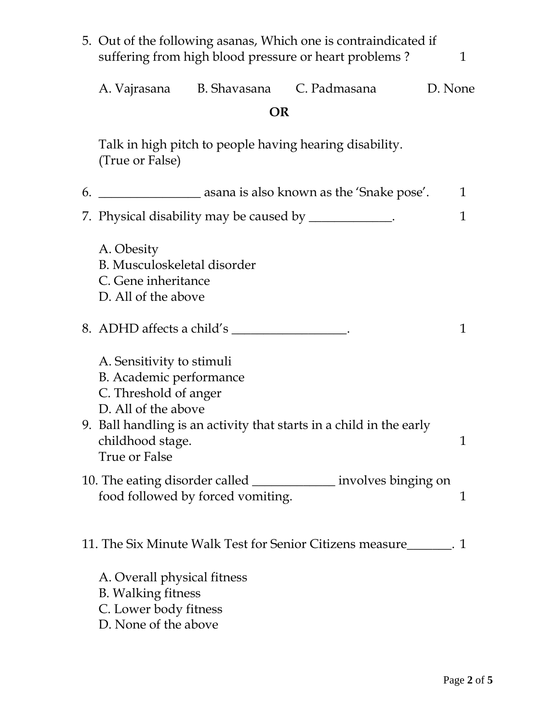| 5. Out of the following asanas, Which one is contraindicated if<br>suffering from high blood pressure or heart problems?<br>1 |           |                                                                        |              |  |  |  |
|-------------------------------------------------------------------------------------------------------------------------------|-----------|------------------------------------------------------------------------|--------------|--|--|--|
| A. Vajrasana                                                                                                                  |           | B. Shavasana C. Padmasana                                              | D. None      |  |  |  |
|                                                                                                                               | <b>OR</b> |                                                                        |              |  |  |  |
| Talk in high pitch to people having hearing disability.<br>(True or False)                                                    |           |                                                                        |              |  |  |  |
|                                                                                                                               |           | 6. __________________________ asana is also known as the 'Snake pose'. | $\mathbf{1}$ |  |  |  |
| 7. Physical disability may be caused by _____________.                                                                        |           |                                                                        | 1            |  |  |  |
| A. Obesity<br>B. Musculoskeletal disorder<br>C. Gene inheritance<br>D. All of the above                                       |           |                                                                        |              |  |  |  |
| 8. ADHD affects a child's                                                                                                     |           |                                                                        | $\mathbf 1$  |  |  |  |
| A. Sensitivity to stimuli<br>B. Academic performance<br>C. Threshold of anger<br>D. All of the above<br>childhood stage.      |           | 9. Ball handling is an activity that starts in a child in the early    |              |  |  |  |
| <b>True or False</b><br>food followed by forced vomiting.                                                                     |           | involves binging on                                                    | 1            |  |  |  |
|                                                                                                                               |           | 11. The Six Minute Walk Test for Senior Citizens measure<br>1. 1       |              |  |  |  |
| A. Overall physical fitness<br><b>B.</b> Walking fitness<br>C. Lower body fitness<br>D. None of the above                     |           |                                                                        |              |  |  |  |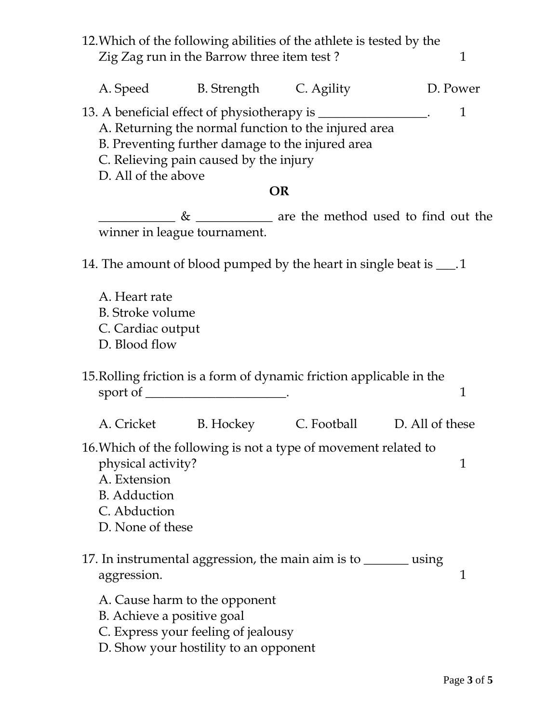12.Which of the following abilities of the athlete is tested by the Zig Zag run in the Barrow three item test ? 1 A. Speed B. Strength C. Agility D. Power 13. A beneficial effect of physiotherapy is \_\_\_\_\_\_\_\_\_\_\_\_\_\_\_. 1 A. Returning the normal function to the injured area B. Preventing further damage to the injured area C. Relieving pain caused by the injury D. All of the above **OR**  $\frac{1}{2}$   $\frac{1}{2}$   $\frac{1}{2}$   $\frac{1}{2}$  are the method used to find out the winner in league tournament. 14. The amount of blood pumped by the heart in single beat is  $\_\_$ . A. Heart rate B. Stroke volume C. Cardiac output D. Blood flow 15.Rolling friction is a form of dynamic friction applicable in the sport of \_\_\_\_\_\_\_\_\_\_\_\_\_\_\_\_\_\_\_\_\_. A. Cricket B. Hockey C. Football D. All of these 16.Which of the following is not a type of movement related to physical activity? 1 A. Extension B. Adduction C. Abduction D. None of these 17. In instrumental aggression, the main aim is to \_\_\_\_\_\_\_ using aggression. 1 A. Cause harm to the opponent B. Achieve a positive goal C. Express your feeling of jealousy D. Show your hostility to an opponent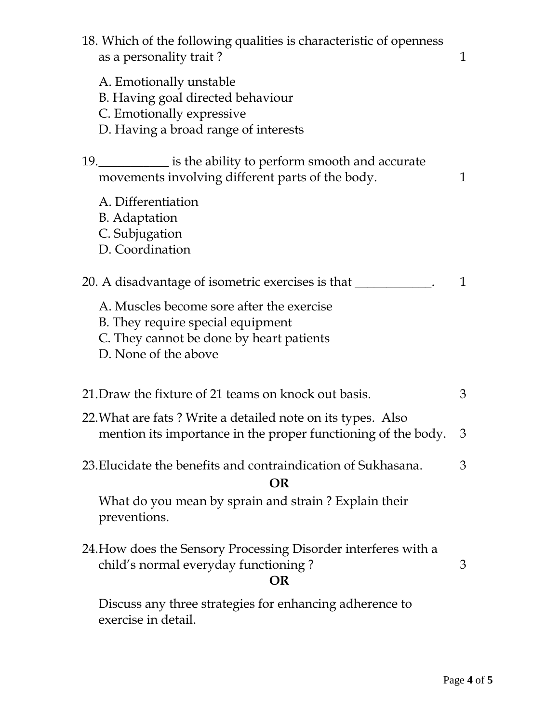| 18. Which of the following qualities is characteristic of openness<br>as a personality trait?                                                      | 1 |
|----------------------------------------------------------------------------------------------------------------------------------------------------|---|
| A. Emotionally unstable<br>B. Having goal directed behaviour<br>C. Emotionally expressive<br>D. Having a broad range of interests                  |   |
| 19. _____________ is the ability to perform smooth and accurate<br>movements involving different parts of the body.                                | 1 |
| A. Differentiation<br><b>B.</b> Adaptation<br>C. Subjugation<br>D. Coordination                                                                    |   |
| 20. A disadvantage of isometric exercises is that _______________________________                                                                  | 1 |
| A. Muscles become sore after the exercise<br>B. They require special equipment<br>C. They cannot be done by heart patients<br>D. None of the above |   |
| 21. Draw the fixture of 21 teams on knock out basis.                                                                                               | 3 |
| 22. What are fats? Write a detailed note on its types. Also<br>mention its importance in the proper functioning of the body.                       | 3 |
| 23. Elucidate the benefits and contraindication of Sukhasana.<br><b>OR</b>                                                                         | 3 |
| What do you mean by sprain and strain? Explain their<br>preventions.                                                                               |   |
| 24. How does the Sensory Processing Disorder interferes with a<br>child's normal everyday functioning?<br>OR                                       | 3 |
| Discuss any three strategies for enhancing adherence to<br>exercise in detail.                                                                     |   |
|                                                                                                                                                    |   |